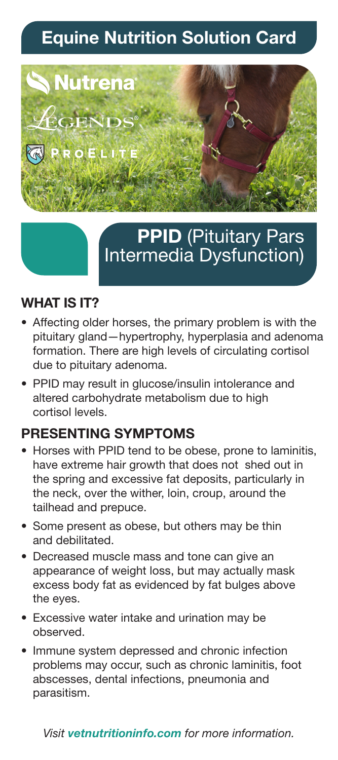# **Equine Nutrition Solution Card**



## **PPID** (Pituitary Pars Intermedia Dysfunction)

#### **WHAT IS IT?**

- Affecting older horses, the primary problem is with the pituitary gland—hypertrophy, hyperplasia and adenoma formation. There are high levels of circulating cortisol due to pituitary adenoma.
- PPID may result in glucose/insulin intolerance and altered carbohydrate metabolism due to high cortisol levels.

### **PRESENTING SYMPTOMS**

- Horses with PPID tend to be obese, prone to laminitis, have extreme hair growth that does not shed out in the spring and excessive fat deposits, particularly in the neck, over the wither, loin, croup, around the tailhead and prepuce.
- Some present as obese, but others may be thin and debilitated.
- Decreased muscle mass and tone can give an appearance of weight loss, but may actually mask excess body fat as evidenced by fat bulges above the eyes.
- Excessive water intake and urination may be observed.
- Immune system depressed and chronic infection problems may occur, such as chronic laminitis, foot abscesses, dental infections, pneumonia and parasitism.